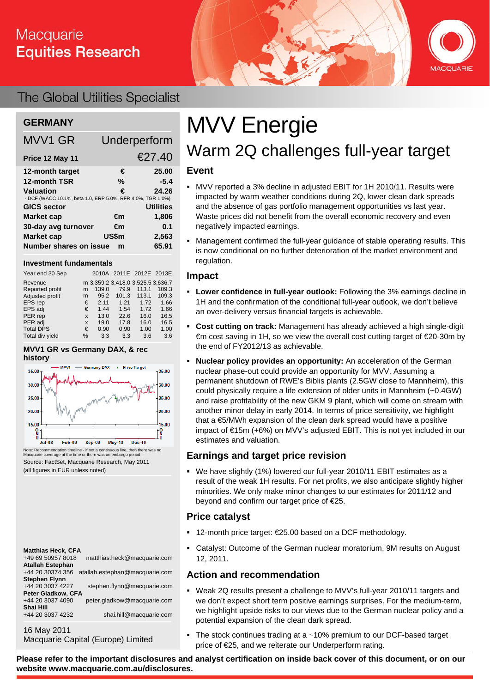## Macquarie **Equities Research**



## The Global Utilities Specialist

## **GERMANY**

| <b>Number shares on issue</b>                                           |              | 65.91            |
|-------------------------------------------------------------------------|--------------|------------------|
| <b>Market cap</b>                                                       | <b>US\$m</b> | 2,563            |
| 30-day avg turnover                                                     | €m           | 0.1              |
| <b>Market cap</b>                                                       | €m           | 1,806            |
| <b>GICS sector</b>                                                      |              | <b>Utilities</b> |
| Valuation<br>- DCF (WACC 10.1%, beta 1.0, ERP 5.0%, RFR 4.0%, TGR 1.0%) | €            | 24.26            |
| 12-month TSR                                                            | %            | $-5.4$           |
| 12-month target                                                         | €            | 25.00            |
| Price 12 May 11                                                         |              | €27.40           |
| MVV1 GR                                                                 |              | Underperform     |

#### **Investment fundamentals**

| Year end 30 Sep  |      |                                   |       |       | 2010A 2011E 2012E 2013E |
|------------------|------|-----------------------------------|-------|-------|-------------------------|
| Revenue          |      | m 3,359.2 3,418.0 3,525.5 3,636.7 |       |       |                         |
| Reported profit  | m    | 139.0                             | 79.9  | 113.1 | 109.3                   |
| Adjusted profit  | m    | 95.2                              | 101.3 | 113.1 | 109.3                   |
| EPS rep          | €    | 2.11                              | 1.21  | 1.72  | 1.66                    |
| EPS adj          | €    | 1.44                              | 1.54  | 1.72  | 1.66                    |
| PER rep          | X    | 13.0                              | 22.6  | 16.0  | 16.5                    |
| PER adj          | X    | 19.0                              | 17.8  | 16.0  | 16.5                    |
| <b>Total DPS</b> | €    | 0.90                              | 0.90  | 1.00  | 1.00                    |
| Total div vield  | $\%$ | 3.3                               | 3.3   | 3.6   | 3.6                     |

#### **MVV1 GR vs Germany DAX, & rec history**



Note: Recommendation timeline - if not a continuous line, then there was no Macquarie coverage at the time or there was an embargo period. Source: FactSet, Macquarie Research, May 2011 (all figures in EUR unless noted)

#### **Matthias Heck, CFA**

| +49 69 50957 8018       | matthias.heck@macquarie.com    |
|-------------------------|--------------------------------|
| <b>Atallah Estephan</b> |                                |
| +44 20 30374 356        | atallah.estephan@macquarie.com |
| <b>Stephen Flynn</b>    |                                |
| +44 20 3037 4227        | stephen.flynn@macquarie.com    |
| Peter Gladkow, CFA      |                                |
| +44 20 3037 4090        | peter.gladkow@macquarie.com    |
| Shai Hill               |                                |
| +44 20 3037 4232        | shai.hill@macquarie.com        |
|                         |                                |

16 May 2011 Macquarie Capital (Europe) Limited

# MVV Energie Warm 2Q challenges full-year target

### **Event**

- MVV reported a 3% decline in adjusted EBIT for 1H 2010/11. Results were impacted by warm weather conditions during 2Q, lower clean dark spreads and the absence of gas portfolio management opportunities vs last year. Waste prices did not benefit from the overall economic recovery and even negatively impacted earnings.
- Management confirmed the full-year guidance of stable operating results. This is now conditional on no further deterioration of the market environment and regulation.

#### **Impact**

- **Lower confidence in full-year outlook:** Following the 3% earnings decline in 1H and the confirmation of the conditional full-year outlook, we don't believe an over-delivery versus financial targets is achievable.
- **Cost cutting on track:** Management has already achieved a high single-digit €m cost saving in 1H, so we view the overall cost cutting target of €20-30m by the end of FY2012/13 as achievable.
- **Nuclear policy provides an opportunity:** An acceleration of the German nuclear phase-out could provide an opportunity for MVV. Assuming a permanent shutdown of RWE's Biblis plants (2.5GW close to Mannheim), this could physically require a life extension of older units in Mannheim (~0.4GW) and raise profitability of the new GKM 9 plant, which will come on stream with another minor delay in early 2014. In terms of price sensitivity, we highlight that a €5/MWh expansion of the clean dark spread would have a positive impact of €15m (+6%) on MVV's adjusted EBIT. This is not yet included in our estimates and valuation.

### **Earnings and target price revision**

 We have slightly (1%) lowered our full-year 2010/11 EBIT estimates as a result of the weak 1H results. For net profits, we also anticipate slightly higher minorities. We only make minor changes to our estimates for 2011/12 and beyond and confirm our target price of  $E$ 25.

#### **Price catalyst**

- 12-month price target: €25.00 based on a DCF methodology.
- Catalyst: Outcome of the German nuclear moratorium, 9M results on August 12, 2011.

#### **Action and recommendation**

- Weak 2Q results present a challenge to MVV's full-year 2010/11 targets and we don't expect short term positive earnings surprises. For the medium-term, we highlight upside risks to our views due to the German nuclear policy and a potential expansion of the clean dark spread.
- The stock continues trading at a ~10% premium to our DCF-based target price of €25, and we reiterate our Underperform rating.

**Please refer to the important disclosures and analyst certification on inside back cover of this document, or on our website www.macquarie.com.au/disclosures.**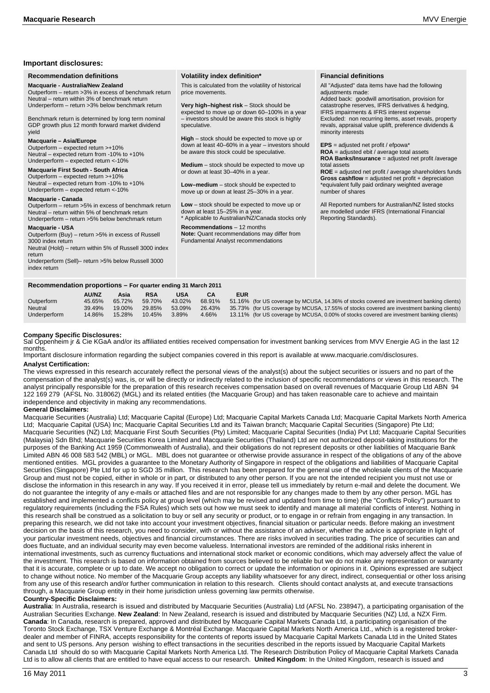#### **Recommendation definitions**

**Macquarie - Australia/New Zealand**  Outperform – return >3% in excess of benchmark return Neutral – return within 3% of benchmark return Underperform – return >3% below benchmark return

Benchmark return is determined by long term nominal GDP growth plus 12 month forward market dividend yield

#### **Macquarie – Asia/Europe**

Outperform – expected return >+10% Neutral – expected return from -10% to +10% Underperform – expected return <-10%

#### **Macquarie First South - South Africa**

Outperform – expected return >+10% Neutral – expected return from -10% to +10% Underperform – expected return <-10%

#### **Macquarie - Canada**

Outperform – return >5% in excess of benchmark return Neutral – return within 5% of benchmark return Underperform – return >5% below benchmark return

#### **Macquarie - USA**

Outperform (Buy) – return >5% in excess of Russell 3000 index return Neutral (Hold) – return within 5% of Russell 3000 index

return Underperform (Sell)– return >5% below Russell 3000

index return

#### **Volatility index definition\***

This is calculated from the volatility of historical price movements.

**Very high–highest risk** – Stock should be expected to move up or down 60–100% in a year – investors should be aware this stock is highly speculative.

**High** – stock should be expected to move up or down at least 40–60% in a year – investors should be aware this stock could be speculative.

**Medium** – stock should be expected to move up or down at least 30–40% in a year.

**Low–medium** – stock should be expected to move up or down at least 25–30% in a year.

**Low** – stock should be expected to move up or down at least 15–25% in a year. \* Applicable to Australian/NZ/Canada stocks only

**Recommendations** – 12 months **Note:** Quant recommendations may differ from

Fundamental Analyst recommendations

#### **Financial definitions**

All "Adjusted" data items have had the following adjustments made: Added back: goodwill amortisation, provision for

catastrophe reserves, IFRS derivatives & hedging, IFRS impairments & IFRS interest expense Excluded: non recurring items, asset revals, property revals, appraisal value uplift, preference dividends & minority interests

**EPS** = adjusted net profit / efpowa\*

**ROA** = adjusted ebit / average total assets **ROA Banks/Insurance** = adjusted net profit /average total assets

**ROE** = adjusted net profit / average shareholders funds **Gross cashflow** = adjusted net profit + depreciation \*equivalent fully paid ordinary weighted average number of shares

All Reported numbers for Australian/NZ listed stocks are modelled under IFRS (International Financial Reporting Standards).

#### **Recommendation proportions – For quarter ending 31 March 2011**

|              | <b>AU/NZ</b> | Asia   | <b>RSA</b> | USA      | CA     | EUR |                                                                                            |
|--------------|--------------|--------|------------|----------|--------|-----|--------------------------------------------------------------------------------------------|
| Outperform   | 45.65%       | 65.72% | 59.70%     | 43.02%   | 68.91% |     | 51.16% (for US coverage by MCUSA, 14.36% of stocks covered are investment banking clients) |
| Neutral      | 39.49%       | 19.00% | 29.85%     | 53.09%   | 26.43% |     | 35.73% (for US coverage by MCUSA, 17.55% of stocks covered are investment banking clients) |
| Underperform | 14.86%       | 15.28% | $10.45\%$  | $3.89\%$ | 4.66%  |     | 13.11% (for US coverage by MCUSA, 0.00% of stocks covered are investment banking clients)  |

#### **Company Specific Disclosures:**

Sal Oppenheim jr & Cie KGaA and/or its affiliated entities received compensation for investment banking services from MVV Energie AG in the last 12 months.

Important disclosure information regarding the subject companies covered in this report is available at www.macquarie.com/disclosures. **Analyst Certification:** 

The views expressed in this research accurately reflect the personal views of the analyst(s) about the subject securities or issuers and no part of the compensation of the analyst(s) was, is, or will be directly or indirectly related to the inclusion of specific recommendations or views in this research. The analyst principally responsible for the preparation of this research receives compensation based on overall revenues of Macquarie Group Ltd ABN 94 122 169 279 (AFSL No. 318062) (MGL) and its related entities (the Macquarie Group) and has taken reasonable care to achieve and maintain independence and objectivity in making any recommendations.

#### **General Disclaimers:**

Macquarie Securities (Australia) Ltd; Macquarie Capital (Europe) Ltd; Macquarie Capital Markets Canada Ltd; Macquarie Capital Markets North America Ltd; Macquarie Capital (USA) Inc; Macquarie Capital Securities Ltd and its Taiwan branch; Macquarie Capital Securities (Singapore) Pte Ltd; Macquarie Securities (NZ) Ltd; Macquarie First South Securities (Pty) Limited; Macquarie Capital Securities (India) Pvt Ltd; Macquarie Capital Securities (Malaysia) Sdn Bhd; Macquarie Securities Korea Limited and Macquarie Securities (Thailand) Ltd are not authorized deposit-taking institutions for the purposes of the Banking Act 1959 (Commonwealth of Australia), and their obligations do not represent deposits or other liabilities of Macquarie Bank Limited ABN 46 008 583 542 (MBL) or MGL. MBL does not guarantee or otherwise provide assurance in respect of the obligations of any of the above mentioned entities. MGL provides a guarantee to the Monetary Authority of Singapore in respect of the obligations and liabilities of Macquarie Capital Securities (Singapore) Pte Ltd for up to SGD 35 million. This research has been prepared for the general use of the wholesale clients of the Macquarie Group and must not be copied, either in whole or in part, or distributed to any other person. If you are not the intended recipient you must not use or disclose the information in this research in any way. If you received it in error, please tell us immediately by return e-mail and delete the document. We do not guarantee the integrity of any e-mails or attached files and are not responsible for any changes made to them by any other person. MGL has established and implemented a conflicts policy at group level (which may be revised and updated from time to time) (the "Conflicts Policy") pursuant to regulatory requirements (including the FSA Rules) which sets out how we must seek to identify and manage all material conflicts of interest. Nothing in this research shall be construed as a solicitation to buy or sell any security or product, or to engage in or refrain from engaging in any transaction. In preparing this research, we did not take into account your investment objectives, financial situation or particular needs. Before making an investment decision on the basis of this research, you need to consider, with or without the assistance of an adviser, whether the advice is appropriate in light of your particular investment needs, objectives and financial circumstances. There are risks involved in securities trading. The price of securities can and does fluctuate, and an individual security may even become valueless. International investors are reminded of the additional risks inherent in international investments, such as currency fluctuations and international stock market or economic conditions, which may adversely affect the value of the investment. This research is based on information obtained from sources believed to be reliable but we do not make any representation or warranty that it is accurate, complete or up to date. We accept no obligation to correct or update the information or opinions in it. Opinions expressed are subject to change without notice. No member of the Macquarie Group accepts any liability whatsoever for any direct, indirect, consequential or other loss arising from any use of this research and/or further communication in relation to this research. Clients should contact analysts at, and execute transactions through, a Macquarie Group entity in their home jurisdiction unless governing law permits otherwise. **Country-Specific Disclaimers:** 

**Australia**: In Australia, research is issued and distributed by Macquarie Securities (Australia) Ltd (AFSL No. 238947), a participating organisation of the Australian Securities Exchange. **New Zealand**: In New Zealand, research is issued and distributed by Macquarie Securities (NZ) Ltd, a NZX Firm. **Canada**: In Canada, research is prepared, approved and distributed by Macquarie Capital Markets Canada Ltd, a participating organisation of the Toronto Stock Exchange, TSX Venture Exchange & Montréal Exchange. Macquarie Capital Markets North America Ltd., which is a registered brokerdealer and member of FINRA, accepts responsibility for the contents of reports issued by Macquarie Capital Markets Canada Ltd in the United States and sent to US persons. Any person wishing to effect transactions in the securities described in the reports issued by Macquarie Capital Markets Canada Ltd should do so with Macquarie Capital Markets North America Ltd. The Research Distribution Policy of Macquarie Capital Markets Canada Ltd is to allow all clients that are entitled to have equal access to our research. **United Kingdom**: In the United Kingdom, research is issued and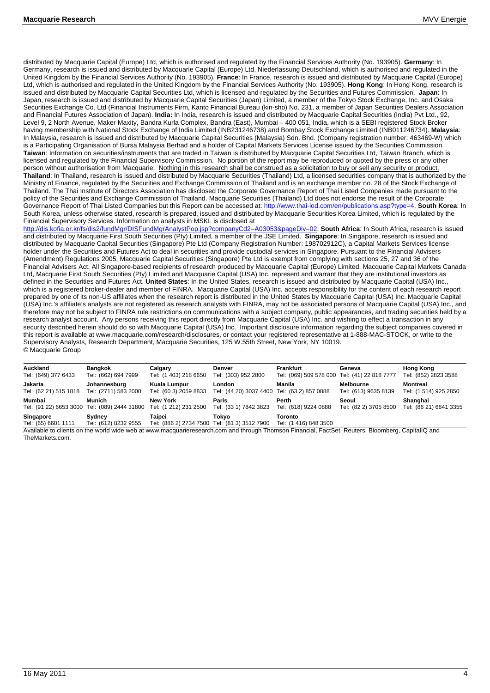distributed by Macquarie Capital (Europe) Ltd, which is authorised and regulated by the Financial Services Authority (No. 193905). **Germany**: In Germany, research is issued and distributed by Macquarie Capital (Europe) Ltd, Niederlassung Deutschland, which is authorised and regulated in the United Kingdom by the Financial Services Authority (No. 193905). **France**: In France, research is issued and distributed by Macquarie Capital (Europe) Ltd, which is authorised and regulated in the United Kingdom by the Financial Services Authority (No. 193905). **Hong Kong**: In Hong Kong, research is issued and distributed by Macquarie Capital Securities Ltd, which is licensed and regulated by the Securities and Futures Commission. **Japan**: In Japan, research is issued and distributed by Macquarie Capital Securities (Japan) Limited, a member of the Tokyo Stock Exchange, Inc. and Osaka Securities Exchange Co. Ltd (Financial Instruments Firm, Kanto Financial Bureau (kin-sho) No. 231, a member of Japan Securities Dealers Association and Financial Futures Association of Japan). **India:** In India, research is issued and distributed by Macquarie Capital Securities (India) Pvt Ltd., 92, Level 9, 2 North Avenue, Maker Maxity, Bandra Kurla Complex, Bandra (East), Mumbai – 400 051, India, which is a SEBI registered Stock Broker having membership with National Stock Exchange of India Limited (INB231246738) and Bombay Stock Exchange Limited (INB011246734). **Malaysia**: In Malaysia, research is issued and distributed by Macquarie Capital Securities (Malaysia) Sdn. Bhd. (Company registration number: 463469-W) which is a Participating Organisation of Bursa Malaysia Berhad and a holder of Capital Markets Services License issued by the Securities Commission. **Taiwan**: Information on securities/instruments that are traded in Taiwan is distributed by Macquarie Capital Securities Ltd, Taiwan Branch, which is licensed and regulated by the Financial Supervisory Commission. No portion of the report may be reproduced or quoted by the press or any other person without authorisation from Macquarie. Nothing in this research shall be construed as a solicitation to buy or sell any security or product. **Thailand**: In Thailand, research is issued and distributed by Macquarie Securities (Thailand) Ltd, a licensed securities company that is authorized by the Ministry of Finance, regulated by the Securities and Exchange Commission of Thailand and is an exchange member no. 28 of the Stock Exchange of Thailand. The Thai Institute of Directors Association has disclosed the Corporate Governance Report of Thai Listed Companies made pursuant to the policy of the Securities and Exchange Commission of Thailand. Macquarie Securities (Thailand) Ltd does not endorse the result of the Corporate Governance Report of Thai Listed Companies but this Report can be accessed at: http://www.thai-iod.com/en/publications.asp?type=4. **South Korea**: In South Korea, unless otherwise stated, research is prepared, issued and distributed by Macquarie Securities Korea Limited, which is regulated by the Financial Supervisory Services. Information on analysts in MSKL is disclosed at

http://dis.kofia.or.kr/fs/dis2/fundMgr/DISFundMgrAnalystPop.jsp?companyCd2=A03053&pageDiv=02. **South Africa**: In South Africa, research is issued and distributed by Macquarie First South Securities (Pty) Limited, a member of the JSE Limited. **Singapore**: In Singapore, research is issued and distributed by Macquarie Capital Securities (Singapore) Pte Ltd (Company Registration Number: 198702912C), a Capital Markets Services license holder under the Securities and Futures Act to deal in securities and provide custodial services in Singapore. Pursuant to the Financial Advisers (Amendment) Regulations 2005, Macquarie Capital Securities (Singapore) Pte Ltd is exempt from complying with sections 25, 27 and 36 of the Financial Advisers Act. All Singapore-based recipients of research produced by Macquarie Capital (Europe) Limited, Macquarie Capital Markets Canada Ltd, Macquarie First South Securities (Pty) Limited and Macquarie Capital (USA) Inc. represent and warrant that they are institutional investors as defined in the Securities and Futures Act. **United States**: In the United States, research is issued and distributed by Macquarie Capital (USA) Inc., which is a registered broker-dealer and member of FINRA. Macquarie Capital (USA) Inc, accepts responsibility for the content of each research report prepared by one of its non-US affiliates when the research report is distributed in the United States by Macquarie Capital (USA) Inc. Macquarie Capital (USA) Inc.'s affiliate's analysts are not registered as research analysts with FINRA, may not be associated persons of Macquarie Capital (USA) Inc., and therefore may not be subject to FINRA rule restrictions on communications with a subject company, public appearances, and trading securities held by a research analyst account. Any persons receiving this report directly from Macquarie Capital (USA) Inc. and wishing to effect a transaction in any security described herein should do so with Macquarie Capital (USA) Inc. Important disclosure information regarding the subject companies covered in this report is available at www.macquarie.com/research/disclosures, or contact your registered representative at 1-888-MAC-STOCK, or write to the Supervisory Analysts, Research Department, Macquarie Securities, 125 W.55th Street, New York, NY 10019. © Macquarie Group

| Auckland                         | <b>Bangkok</b>                 | Calgary                                                                                                                                           | Denver                 | Frankfurt                                    | Geneva                | <b>Hong Kong</b>       |
|----------------------------------|--------------------------------|---------------------------------------------------------------------------------------------------------------------------------------------------|------------------------|----------------------------------------------|-----------------------|------------------------|
| Tel: (649) 377 6433              | Tel: (662) 694 7999            | Tel: (1 403) 218 6650                                                                                                                             | Tel: (303) 952 2800    | Tel: (069) 509 578 000 Tel: (41) 22 818 7777 |                       | Tel: (852) 2823 3588   |
| Jakarta                          | Johannesburg                   | Kuala Lumpur                                                                                                                                      | London                 | Manila                                       | <b>Melbourne</b>      | Montreal               |
| Tel: (62 21) 515 1818            | Tel: (2711) 583 2000           | Tel: (60 3) 2059 8833                                                                                                                             | Tel: (44 20) 3037 4400 | Tel: (63 2) 857 0888                         | Tel: (613) 9635 8139  | Tel: (1 514) 925 2850  |
| Mumbai                           | Munich                         | <b>New York</b>                                                                                                                                   | Paris                  | Perth                                        | Seoul                 | Shanghai               |
| Tel: (91 22) 6653 3000           | Tel: (089) 2444 31800          | Tel: (1 212) 231 2500                                                                                                                             | Tel: (33 1) 7842 3823  | Tel: (618) 9224 0888                         | Tel: (82 2) 3705 8500 | Tel: (86 21) 6841 3355 |
| Singapore<br>Tel: (65) 6601 1111 | Sydney<br>Tel: (612) 8232 9555 | Taipei<br>Tel: (886 2) 2734 7500 Tel: (81 3) 3512 7900                                                                                            | Tokvo                  | Toronto<br>Tel: (1 416) 848 3500             |                       |                        |
| TheMarkets.com                   |                                | Available to clients on the world wide web at www.macquarieresearch.com and through Thomson Financial, FactSet, Reuters, Bloomberg, CapitallQ and |                        |                                              |                       |                        |